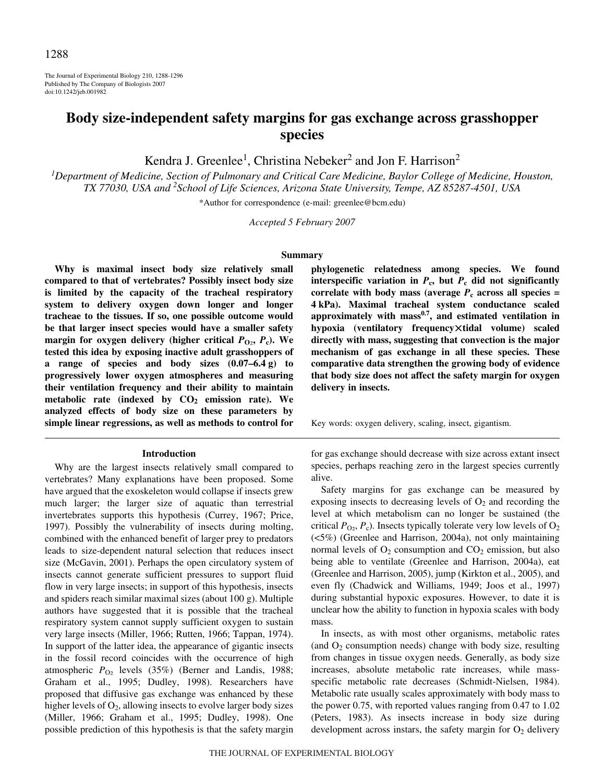The Journal of Experimental Biology 210, 1288-1296 Published by The Company of Biologists 2007 doi:10.1242/jeb.001982

# **Body size-independent safety margins for gas exchange across grasshopper species**

Kendra J. Greenlee<sup>1</sup>, Christina Nebeker<sup>2</sup> and Jon F. Harrison<sup>2</sup>

*1 Department of Medicine, Section of Pulmonary and Critical Care Medicine, Baylor College of Medicine, Houston, TX 77030, USA and 2 School of Life Sciences, Arizona State University, Tempe, AZ 85287-4501, USA*

\*Author for correspondence (e-mail: greenlee@bcm.edu)

*Accepted 5 February 2007*

#### **Summary**

**Why is maximal insect body size relatively small compared to that of vertebrates? Possibly insect body size is limited by the capacity of the tracheal respiratory system to delivery oxygen down longer and longer tracheae to the tissues. If so, one possible outcome would be that larger insect species would have a smaller safety margin for oxygen delivery (higher critical**  $P_{Q_2}$ **,**  $P_c$ **). We tested this idea by exposing inactive adult grasshoppers of a** range of species and body sizes  $(0.07-6.4g)$  to **progressively lower oxygen atmospheres and measuring their ventilation frequency and their ability to maintain metabolic rate (indexed by CO2 emission rate). We analyzed effects of body size on these parameters by simple linear regressions, as well as methods to control for**

#### **Introduction**

Why are the largest insects relatively small compared to vertebrates? Many explanations have been proposed. Some have argued that the exoskeleton would collapse if insects grew much larger; the larger size of aquatic than terrestrial invertebrates supports this hypothesis (Currey, 1967; Price, 1997). Possibly the vulnerability of insects during molting, combined with the enhanced benefit of larger prey to predators leads to size-dependent natural selection that reduces insect size (McGavin, 2001). Perhaps the open circulatory system of insects cannot generate sufficient pressures to support fluid flow in very large insects; in support of this hypothesis, insects and spiders reach similar maximal sizes (about  $100\text{ g}$ ). Multiple authors have suggested that it is possible that the tracheal respiratory system cannot supply sufficient oxygen to sustain very large insects (Miller, 1966; Rutten, 1966; Tappan, 1974). In support of the latter idea, the appearance of gigantic insects in the fossil record coincides with the occurrence of high atmospheric  $P_{\text{O}_2}$  levels (35%) (Berner and Landis, 1988; Graham et al., 1995; Dudley, 1998). Researchers have proposed that diffusive gas exchange was enhanced by these higher levels of  $O_2$ , allowing insects to evolve larger body sizes (Miller, 1966; Graham et al., 1995; Dudley, 1998). One possible prediction of this hypothesis is that the safety margin **phylogenetic relatedness among species. We found interspecific variation in**  $P_c$ **, but**  $P_c$  **did not significantly correlate with body mass (average**  $P_c$  **across all species = 4·kPa). Maximal tracheal system conductance scaled** approximately with mass<sup>0.7</sup>, and estimated ventilation in **hypoxia (ventilatory frequency**-**tidal volume) scaled directly with mass, suggesting that convection is the major mechanism of gas exchange in all these species. These comparative data strengthen the growing body of evidence that body size does not affect the safety margin for oxygen delivery in insects.**

Key words: oxygen delivery, scaling, insect, gigantism.

for gas exchange should decrease with size across extant insect species, perhaps reaching zero in the largest species currently alive.

Safety margins for gas exchange can be measured by exposing insects to decreasing levels of  $O_2$  and recording the level at which metabolism can no longer be sustained (the critical  $P_{\text{O}_2}$ ,  $P_{\text{c}}$ ). Insects typically tolerate very low levels of  $\text{O}_2$ (<5%) (Greenlee and Harrison, 2004a), not only maintaining normal levels of  $O_2$  consumption and  $CO_2$  emission, but also being able to ventilate (Greenlee and Harrison, 2004a), eat (Greenlee and Harrison, 2005), jump (Kirkton et al., 2005), and even fly (Chadwick and Williams, 1949; Joos et al., 1997) during substantial hypoxic exposures. However, to date it is unclear how the ability to function in hypoxia scales with body mass.

In insects, as with most other organisms, metabolic rates (and  $O_2$  consumption needs) change with body size, resulting from changes in tissue oxygen needs. Generally, as body size increases, absolute metabolic rate increases, while massspecific metabolic rate decreases (Schmidt-Nielsen, 1984). Metabolic rate usually scales approximately with body mass to the power 0.75, with reported values ranging from 0.47 to 1.02 (Peters, 1983). As insects increase in body size during development across instars, the safety margin for  $O_2$  delivery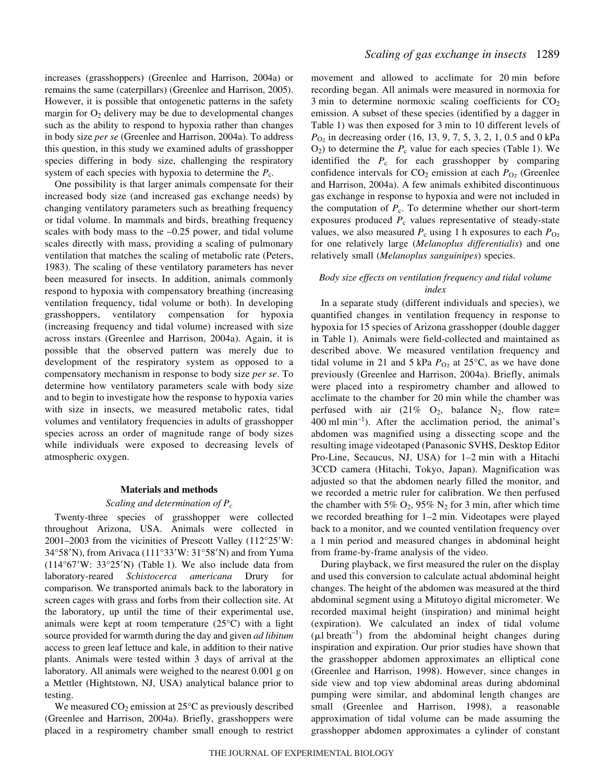increases (grasshoppers) (Greenlee and Harrison, 2004a) or remains the same (caterpillars) (Greenlee and Harrison, 2005). However, it is possible that ontogenetic patterns in the safety margin for  $O_2$  delivery may be due to developmental changes such as the ability to respond to hypoxia rather than changes in body size *per se* (Greenlee and Harrison, 2004a). To address this question, in this study we examined adults of grasshopper species differing in body size, challenging the respiratory system of each species with hypoxia to determine the  $P_c$ .

One possibility is that larger animals compensate for their increased body size (and increased gas exchange needs) by changing ventilatory parameters such as breathing frequency or tidal volume. In mammals and birds, breathing frequency scales with body mass to the –0.25 power, and tidal volume scales directly with mass, providing a scaling of pulmonary ventilation that matches the scaling of metabolic rate (Peters, 1983). The scaling of these ventilatory parameters has never been measured for insects. In addition, animals commonly respond to hypoxia with compensatory breathing (increasing ventilation frequency, tidal volume or both). In developing grasshoppers, ventilatory compensation for hypoxia (increasing frequency and tidal volume) increased with size across instars (Greenlee and Harrison, 2004a). Again, it is possible that the observed pattern was merely due to development of the respiratory system as opposed to a compensatory mechanism in response to body size *per se*. To determine how ventilatory parameters scale with body size and to begin to investigate how the response to hypoxia varies with size in insects, we measured metabolic rates, tidal volumes and ventilatory frequencies in adults of grasshopper species across an order of magnitude range of body sizes while individuals were exposed to decreasing levels of atmospheric oxygen.

#### **Materials and methods**

#### *Scaling and determination of Pc*

Twenty-three species of grasshopper were collected throughout Arizona, USA. Animals were collected in 2001–2003 from the vicinities of Prescott Valley (112°25W: 34°58'N), from Arivaca (111°33'W: 31°58'N) and from Yuma  $(114°67'W: 33°25'N)$  (Table 1). We also include data from laboratory-reared *Schistocerca americana* Drury for comparison. We transported animals back to the laboratory in screen cages with grass and forbs from their collection site. At the laboratory, up until the time of their experimental use, animals were kept at room temperature (25°C) with a light source provided for warmth during the day and given *ad libitum* access to green leaf lettuce and kale, in addition to their native plants. Animals were tested within 3 days of arrival at the laboratory. All animals were weighed to the nearest 0.001 g on a Mettler (Hightstown, NJ, USA) analytical balance prior to testing.

We measured  $CO_2$  emission at 25 $\degree$ C as previously described (Greenlee and Harrison, 2004a). Briefly, grasshoppers were placed in a respirometry chamber small enough to restrict movement and allowed to acclimate for 20 min before recording began. All animals were measured in normoxia for  $3 \text{ min}$  to determine normoxic scaling coefficients for  $CO<sub>2</sub>$ emission. A subset of these species (identified by a dagger in Table 1) was then exposed for 3 min to 10 different levels of  $P_{\text{O}_2}$  in decreasing order (16, 13, 9, 7, 5, 3, 2, 1, 0.5 and 0 kPa  $O_2$ ) to determine the  $P_c$  value for each species (Table 1). We identified the  $P_c$  for each grasshopper by comparing confidence intervals for  $CO_2$  emission at each  $P_{O_2}$  (Greenlee and Harrison, 2004a). A few animals exhibited discontinuous gas exchange in response to hypoxia and were not included in the computation of  $P_c$ . To determine whether our short-term exposures produced  $P_c$  values representative of steady-state values, we also measured  $P_c$  using 1 h exposures to each  $P_{O<sub>2</sub>}$ for one relatively large (*Melanoplus differentialis*) and one relatively small (*Melanoplus sanguinipes*) species.

### *Body size effects on ventilation frequency and tidal volume index*

In a separate study (different individuals and species), we quantified changes in ventilation frequency in response to hypoxia for 15 species of Arizona grasshopper (double dagger in Table 1). Animals were field-collected and maintained as described above. We measured ventilation frequency and tidal volume in 21 and 5 kPa  $P_{O_2}$  at 25°C, as we have done previously (Greenlee and Harrison, 2004a). Briefly, animals were placed into a respirometry chamber and allowed to acclimate to the chamber for 20 min while the chamber was perfused with air  $(21\% \text{ O}_2)$ , balance N<sub>2</sub>, flow rate=  $400 \text{ ml min}^{-1}$ ). After the acclimation period, the animal's abdomen was magnified using a dissecting scope and the resulting image videotaped (Panasonic SVHS, Desktop Editor Pro-Line, Secaucus, NJ, USA) for 1–2 min with a Hitachi 3CCD camera (Hitachi, Tokyo, Japan). Magnification was adjusted so that the abdomen nearly filled the monitor, and we recorded a metric ruler for calibration. We then perfused the chamber with 5%  $O_2$ , 95%  $N_2$  for 3 min, after which time we recorded breathing for  $1-2$  min. Videotapes were played back to a monitor, and we counted ventilation frequency over a 1 min period and measured changes in abdominal height from frame-by-frame analysis of the video.

During playback, we first measured the ruler on the display and used this conversion to calculate actual abdominal height changes. The height of the abdomen was measured at the third abdominal segment using a Mitutoyo digital micrometer. We recorded maximal height (inspiration) and minimal height (expiration). We calculated an index of tidal volume  $(\mu I breath^{-1})$  from the abdominal height changes during inspiration and expiration. Our prior studies have shown that the grasshopper abdomen approximates an elliptical cone (Greenlee and Harrison, 1998). However, since changes in side view and top view abdominal areas during abdominal pumping were similar, and abdominal length changes are small (Greenlee and Harrison, 1998), a reasonable approximation of tidal volume can be made assuming the grasshopper abdomen approximates a cylinder of constant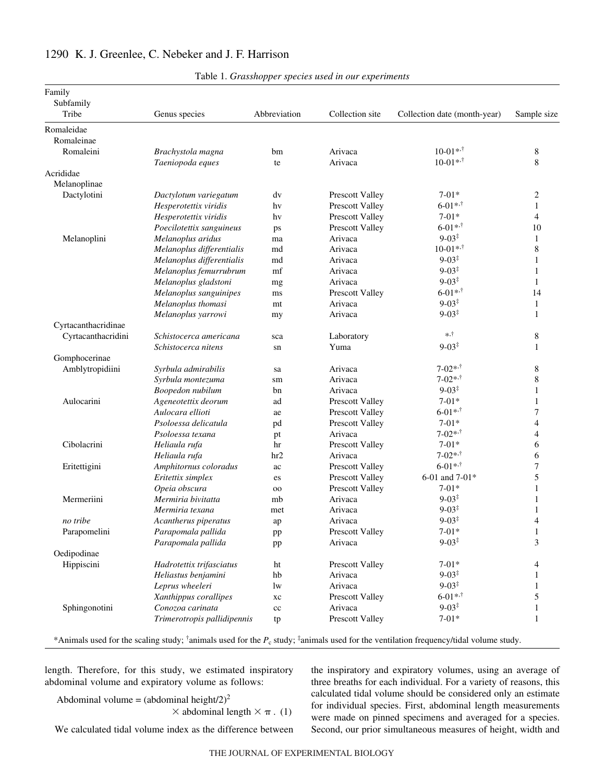| Family              |                             |              |                 |                              |                |
|---------------------|-----------------------------|--------------|-----------------|------------------------------|----------------|
| Subfamily           |                             |              |                 |                              |                |
| Tribe               | Genus species               | Abbreviation | Collection site | Collection date (month-year) | Sample size    |
| Romaleidae          |                             |              |                 |                              |                |
| Romaleinae          |                             |              |                 |                              |                |
| Romaleini           | Brachystola magna           | bm           | Arivaca         | $10-01**$                    | 8              |
|                     | Taeniopoda eques            | te           | Arivaca         | $10-01**$                    | 8              |
| Acrididae           |                             |              |                 |                              |                |
| Melanoplinae        |                             |              |                 |                              |                |
| Dactylotini         | Dactylotum variegatum       | dv           | Prescott Valley | $7-01*$                      | 2              |
|                     | Hesperotettix viridis       | hv           | Prescott Valley | $6 - 01$ * <sup>*</sup>      | $\mathbf{1}$   |
|                     | Hesperotettix viridis       | hv           | Prescott Valley | $7-01*$                      | 4              |
|                     | Poecilotettix sanguineus    | ps           | Prescott Valley | $6 - 01$ * <sup>+</sup>      | 10             |
| Melanoplini         | Melanoplus aridus           | ma           | Arivaca         | $9 - 03^{\ddagger}$          | $\mathbf{1}$   |
|                     | Melanoplus differentialis   | md           | Arivaca         | $10-01**$                    | 8              |
|                     | Melanoplus differentialis   | md           | Arivaca         | $9 - 03^{\ddagger}$          | 1              |
|                     | Melanoplus femurrubrum      | mf           | Arivaca         | $9 - 03^{\ddagger}$          | 1              |
|                     | Melanoplus gladstoni        | mg           | Arivaca         | $9 - 03^{\ddagger}$          | $\mathbf{1}$   |
|                     | Melanoplus sanguinipes      | ms           | Prescott Valley | $6 - 01$ * <sup>+</sup>      | 14             |
|                     | Melanoplus thomasi          | mt           | Arivaca         | $9 - 03^{\ddagger}$          | $\mathbf{1}$   |
|                     | Melanoplus yarrowi          | my           | Arivaca         | $9 - 03^{\ddagger}$          | $\mathbf{1}$   |
| Cyrtacanthacridinae |                             |              |                 |                              |                |
| Cyrtacanthacridini  | Schistocerca americana      | sca          | Laboratory      | $*, \dagger$                 | 8              |
|                     | Schistocerca nitens         | sn           | Yuma            | $9 - 03^{\ddagger}$          | 1              |
| Gomphocerinae       |                             |              |                 |                              |                |
| Amblytropidiini     | Syrbula admirabilis         | sa           | Arivaca         | $7 - 02$ * <sup>*</sup>      | 8              |
|                     | Syrbula montezuma           | sm           | Arivaca         | $7 - 02$ * <sup>*</sup>      | 8              |
|                     | Boopedon nubilum            | bn           | Arivaca         | $9 - 03^{\ddagger}$          | 1              |
| Aulocarini          | Ageneotettix deorum         | ad           | Prescott Valley | $7 - 01*$                    | 1              |
|                     | Aulocara ellioti            | ae           | Prescott Valley | $6 - 01$ * <sup>*</sup>      | 7              |
|                     | Psoloessa delicatula        | pd           | Prescott Valley | $7-01*$                      | $\overline{4}$ |
|                     | Psoloessa texana            | pt           | Arivaca         | $7 - 02$ * <sup>*</sup>      | $\overline{4}$ |
| Cibolacrini         | Heliaula rufa               | hr           | Prescott Valley | $7 - 01*$                    | 6              |
|                     | Heliaula rufa               | hr2          | Arivaca         | $7 - 02$ * <sup>*</sup>      | 6              |
| Eritettigini        | Amphitornus coloradus       | ac           | Prescott Valley | $6 - 01$ * <sup>*</sup>      | 7              |
|                     | Eritettix simplex           | es           | Prescott Valley | 6-01 and 7-01*               | 5              |
|                     | Opeia obscura               | 00           | Prescott Valley | $7 - 01*$                    | $\mathbf{1}$   |
| Mermeriini          | Mermiria bivitatta          | mb           | Arivaca         | $9 - 03^{\ddagger}$          | $\mathbf{1}$   |
|                     | Mermiria texana             | met          | Arivaca         | $9 - 03^{\ddagger}$          |                |
| no tribe            | Acantherus piperatus        | ap           | Arivaca         | $9 - 03^{\ddagger}$          | $\overline{4}$ |
| Parapomelini        | Parapomala pallida          | pp           | Prescott Valley | $7 - 01*$                    | Τ.             |
|                     | Parapomala pallida          | pp           | Arivaca         | $9 - 03^{\ddagger}$          | 3              |
| Oedipodinae         |                             |              |                 |                              |                |
| Hippiscini          | Hadrotettix trifasciatus    | ht           | Prescott Valley | $7 - 01*$                    | 4              |
|                     | Heliastus benjamini         | hb           | Arivaca         | $9 - 03^{\ddagger}$          | 1              |
|                     | Leprus wheeleri             | lw           | Arivaca         | $9 - 03^{\ddagger}$          | $\mathbf{1}$   |
|                     | Xanthippus corallipes       | $\rm xc$     | Prescott Valley | $6 - 01$ * <sup>*</sup>      | 5              |
| Sphingonotini       | Conozoa carinata            | cc           | Arivaca         | $9 - 03^{\ddagger}$          | 1              |
|                     | Trimerotropis pallidipennis | tp           | Prescott Valley | $7 - 01*$                    | $\mathbf{1}$   |
|                     |                             |              |                 |                              |                |

# 1290 K. J. Greenlee, C. Nebeker and J. F. Harrison

Table 1. *Grasshopper species used in our experiments* 

\*Animals used for the scaling study; <sup>†</sup>animals used for the  $P_c$  study; <sup>‡</sup>animals used for the ventilation frequency/tidal volume study.

length. Therefore, for this study, we estimated inspiratory abdominal volume and expiratory volume as follows:

Abdominal volume = (abdominal height/2)<sup>2</sup>

 $\times$  abdominal length  $\times \pi$ . (1)

We calculated tidal volume index as the difference between

the inspiratory and expiratory volumes, using an average of three breaths for each individual. For a variety of reasons, this calculated tidal volume should be considered only an estimate for individual species. First, abdominal length measurements were made on pinned specimens and averaged for a species. Second, our prior simultaneous measures of height, width and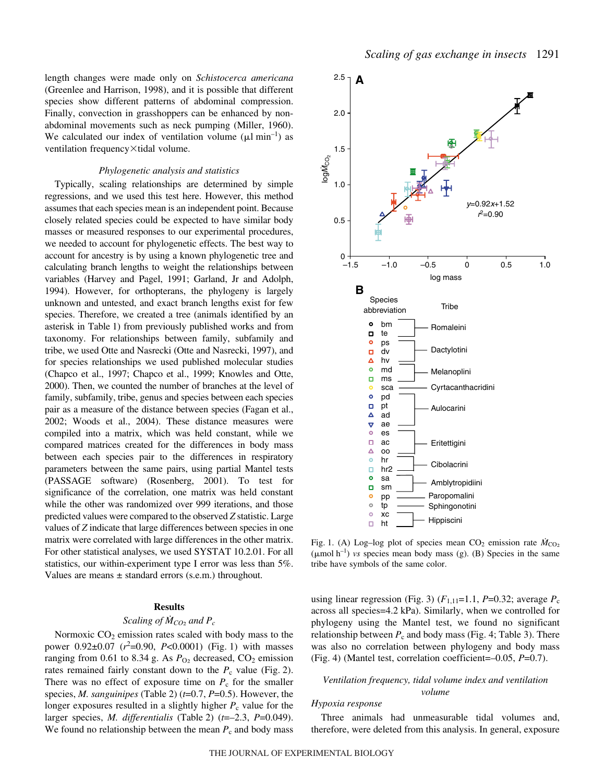length changes were made only on *Schistocerca americana* (Greenlee and Harrison, 1998), and it is possible that different species show different patterns of abdominal compression. Finally, convection in grasshoppers can be enhanced by nonabdominal movements such as neck pumping (Miller, 1960). We calculated our index of ventilation volume ( $\mu$ l min<sup>-1</sup>) as ventilation frequency×tidal volume.

#### *Phylogenetic analysis and statistics*

Typically, scaling relationships are determined by simple regressions, and we used this test here. However, this method assumes that each species mean is an independent point. Because closely related species could be expected to have similar body masses or measured responses to our experimental procedures, we needed to account for phylogenetic effects. The best way to account for ancestry is by using a known phylogenetic tree and calculating branch lengths to weight the relationships between variables (Harvey and Pagel, 1991; Garland, Jr and Adolph, 1994). However, for orthopterans, the phylogeny is largely unknown and untested, and exact branch lengths exist for few species. Therefore, we created a tree (animals identified by an asterisk in Table 1) from previously published works and from taxonomy. For relationships between family, subfamily and tribe, we used Otte and Nasrecki (Otte and Nasrecki, 1997), and for species relationships we used published molecular studies (Chapco et al., 1997; Chapco et al., 1999; Knowles and Otte, 2000). Then, we counted the number of branches at the level of family, subfamily, tribe, genus and species between each species pair as a measure of the distance between species (Fagan et al., 2002; Woods et al., 2004). These distance measures were compiled into a matrix, which was held constant, while we compared matrices created for the differences in body mass between each species pair to the differences in respiratory parameters between the same pairs, using partial Mantel tests (PASSAGE software) (Rosenberg, 2001). To test for significance of the correlation, one matrix was held constant while the other was randomized over 999 iterations, and those predicted values were compared to the observed *Z* statistic. Large values of *Z* indicate that large differences between species in one matrix were correlated with large differences in the other matrix. For other statistical analyses, we used SYSTAT 10.2.01. For all statistics, our within-experiment type I error was less than 5%. Values are means  $\pm$  standard errors (s.e.m.) throughout.

### **Results**

### *Scaling of*  $\dot{M}_{CO_2}$  *and P<sub>c</sub>*

Normoxic  $CO<sub>2</sub>$  emission rates scaled with body mass to the power  $0.92 \pm 0.07$  ( $r^2 = 0.90$ ,  $P < 0.0001$ ) (Fig. 1) with masses ranging from 0.61 to 8.34 g. As  $P_{\text{O}_2}$  decreased,  $CO_2$  emission rates remained fairly constant down to the  $P_c$  value (Fig. 2). There was no effect of exposure time on  $P_c$  for the smaller species, *M. sanguinipes* (Table 2) ( $t=0.7$ ,  $P=0.5$ ). However, the longer exposures resulted in a slightly higher  $P_c$  value for the larger species, *M. differentialis* (Table 2) (*t*=–2.3, *P*=0.049). We found no relationship between the mean  $P_c$  and body mass



Fig. 1. (A) Log–log plot of species mean  $CO_2$  emission rate  $\dot{M}_{CO_2}$  $(\mu \text{mol h}^{-1})$  *vs* species mean body mass (g). (B) Species in the same tribe have symbols of the same color.

using linear regression (Fig. 3)  $(F_{1,11}=1.1, P=0.32;$  average  $P_c$ across all species=4.2 kPa). Similarly, when we controlled for phylogeny using the Mantel test, we found no significant relationship between  $P_c$  and body mass (Fig. 4; Table 3). There was also no correlation between phylogeny and body mass (Fig.·4) (Mantel test, correlation coefficient=–0.05, *P*=0.7).

### *Ventilation frequency, tidal volume index and ventilation volume*

### *Hypoxia response*

Three animals had unmeasurable tidal volumes and, therefore, were deleted from this analysis. In general, exposure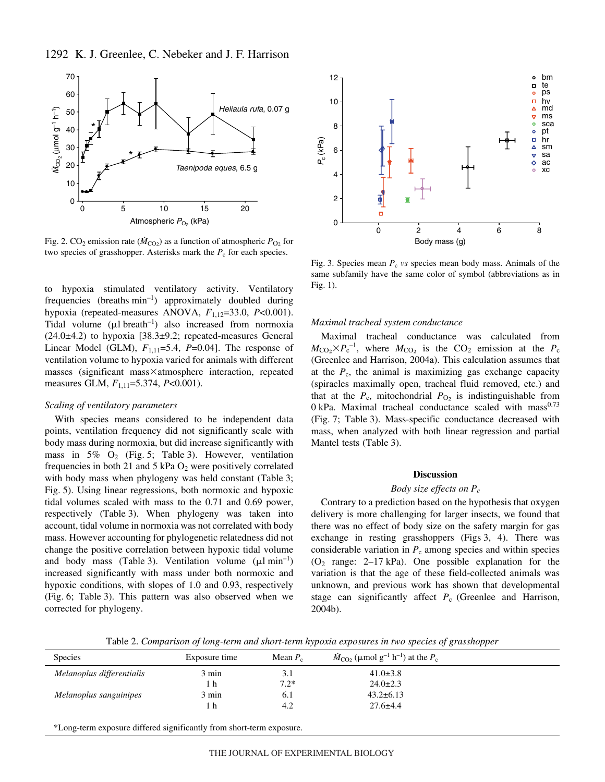

Fig. 2. CO<sub>2</sub> emission rate ( $\dot{M}_{CO_2}$ ) as a function of atmospheric  $P_{O_2}$  for two species of grasshopper. Asterisks mark the  $P_c$  for each species.

to hypoxia stimulated ventilatory activity. Ventilatory frequencies (breaths  $min^{-1}$ ) approximately doubled during hypoxia (repeated-measures ANOVA,  $F_{1,12}=33.0$ ,  $P<0.001$ ). Tidal volume  $(\mu l \text{ breath}^{-1})$  also increased from normoxia (24.0±4.2) to hypoxia [38.3±9.2; repeated-measures General Linear Model (GLM),  $F_{1,11}=5.4$ ,  $P=0.04$ ]. The response of ventilation volume to hypoxia varied for animals with different masses (significant mass×atmosphere interaction, repeated measures GLM,  $F_{1,11}$ =5.374, *P*<0.001).

#### *Scaling of ventilatory parameters*

With species means considered to be independent data points, ventilation frequency did not significantly scale with body mass during normoxia, but did increase significantly with mass in 5%  $O_2$  (Fig. 5; Table 3). However, ventilation frequencies in both 21 and 5 kPa  $O_2$  were positively correlated with body mass when phylogeny was held constant (Table 3; Fig. 5). Using linear regressions, both normoxic and hypoxic tidal volumes scaled with mass to the 0.71 and 0.69 power, respectively (Table 3). When phylogeny was taken into account, tidal volume in normoxia was not correlated with body mass. However accounting for phylogenetic relatedness did not change the positive correlation between hypoxic tidal volume and body mass (Table 3). Ventilation volume  $(\mu l \text{ min}^{-1})$ increased significantly with mass under both normoxic and hypoxic conditions, with slopes of 1.0 and 0.93, respectively (Fig. 6; Table 3). This pattern was also observed when we corrected for phylogeny.



Fig. 3. Species mean  $P_c$  *vs* species mean body mass. Animals of the same subfamily have the same color of symbol (abbreviations as in Fig.  $1$ ).

#### *Maximal tracheal system conductance*

Maximal tracheal conductance was calculated from  $M_{\text{CO}_2} \times P_c^{-1}$ , where  $M_{\text{CO}_2}$  is the CO<sub>2</sub> emission at the  $P_c$ (Greenlee and Harrison, 2004a). This calculation assumes that at the  $P_c$ , the animal is maximizing gas exchange capacity (spiracles maximally open, tracheal fluid removed, etc.) and that at the  $P_c$ , mitochondrial  $P_{O_2}$  is indistinguishable from  $0$  kPa. Maximal tracheal conductance scaled with mass $0.73$ (Fig. 7; Table 3). Mass-specific conductance decreased with mass, when analyzed with both linear regression and partial Mantel tests (Table 3).

#### **Discussion**

### *Body size effects on Pc*

Contrary to a prediction based on the hypothesis that oxygen delivery is more challenging for larger insects, we found that there was no effect of body size on the safety margin for gas exchange in resting grasshoppers (Figs 3, 4). There was considerable variation in  $P_c$  among species and within species  $(O_2 \text{ range: } 2-17 \text{ kPa})$ . One possible explanation for the variation is that the age of these field-collected animals was unknown, and previous work has shown that developmental stage can significantly affect *P*c (Greenlee and Harrison, 2004b).

Table 2. *Comparison of long-term and short-term hypoxia exposures in two species of grasshopper* 

| <b>Species</b>            | Exposure time | Mean $P_c$ | $\dot{M}_{\text{CO}_2}$ (µmol g <sup>-1</sup> h <sup>-1</sup> ) at the $P_c$ |  |
|---------------------------|---------------|------------|------------------------------------------------------------------------------|--|
| Melanoplus differentialis | 3 min         | 3.1        | $41.0 \pm 3.8$                                                               |  |
|                           | 1 h           | $7.2*$     | $24.0 \pm 2.3$                                                               |  |
| Melanoplus sanguinipes    | 3 min         | 6.1        | $43.2 \pm 6.13$                                                              |  |
|                           | 1 h           | 4.2        | $27.6 \pm 4.4$                                                               |  |
|                           |               |            |                                                                              |  |

\*Long-term exposure differed significantly from short-term exposure.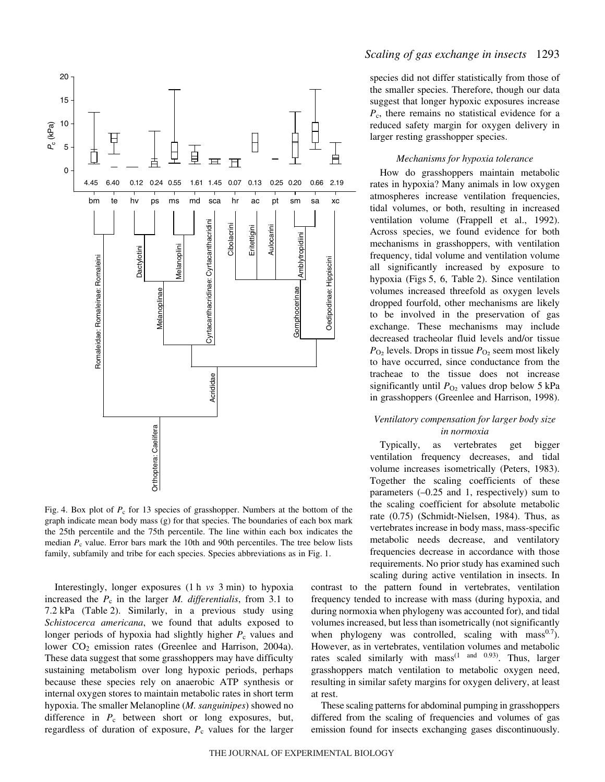

Fig. 4. Box plot of  $P_c$  for 13 species of grasshopper. Numbers at the bottom of the graph indicate mean body mass (g) for that species. The boundaries of each box mark the 25th percentile and the 75th percentile. The line within each box indicates the median  $P_c$  value. Error bars mark the 10th and 90th percentiles. The tree below lists family, subfamily and tribe for each species. Species abbreviations as in Fig. 1.

Interestingly, longer exposures (1 h *vs* 3 min) to hypoxia increased the  $P_c$  in the larger  $M$ . differentialis, from 3.1 to 7.2 kPa (Table 2). Similarly, in a previous study using *Schistocerca americana*, we found that adults exposed to longer periods of hypoxia had slightly higher  $P_c$  values and lower CO<sub>2</sub> emission rates (Greenlee and Harrison, 2004a). These data suggest that some grasshoppers may have difficulty sustaining metabolism over long hypoxic periods, perhaps because these species rely on anaerobic ATP synthesis or internal oxygen stores to maintain metabolic rates in short term hypoxia. The smaller Melanopline (*M. sanguinipes*) showed no difference in  $P_c$  between short or long exposures, but, regardless of duration of exposure,  $P_c$  values for the larger

### *Scaling of gas exchange in insects* 1293

species did not differ statistically from those of the smaller species. Therefore, though our data suggest that longer hypoxic exposures increase *P*c, there remains no statistical evidence for a reduced safety margin for oxygen delivery in larger resting grasshopper species.

### *Mechanisms for hypoxia tolerance*

How do grasshoppers maintain metabolic rates in hypoxia? Many animals in low oxygen atmospheres increase ventilation frequencies, tidal volumes, or both, resulting in increased ventilation volume (Frappell et al., 1992). Across species, we found evidence for both mechanisms in grasshoppers, with ventilation frequency, tidal volume and ventilation volume all significantly increased by exposure to hypoxia (Figs 5, 6, Table 2). Since ventilation volumes increased threefold as oxygen levels dropped fourfold, other mechanisms are likely to be involved in the preservation of gas exchange. These mechanisms may include decreased tracheolar fluid levels and/or tissue  $P_{\text{O}_2}$  levels. Drops in tissue  $P_{\text{O}_2}$  seem most likely to have occurred, since conductance from the tracheae to the tissue does not increase significantly until  $P_{\text{O}_2}$  values drop below 5 kPa in grasshoppers (Greenlee and Harrison, 1998).

### *Ventilatory compensation for larger body size in normoxia*

Typically, as vertebrates get bigger ventilation frequency decreases, and tidal volume increases isometrically (Peters, 1983). Together the scaling coefficients of these parameters (–0.25 and 1, respectively) sum to the scaling coefficient for absolute metabolic rate (0.75) (Schmidt-Nielsen, 1984). Thus, as vertebrates increase in body mass, mass-specific metabolic needs decrease, and ventilatory frequencies decrease in accordance with those requirements. No prior study has examined such scaling during active ventilation in insects. In

contrast to the pattern found in vertebrates, ventilation frequency tended to increase with mass (during hypoxia, and during normoxia when phylogeny was accounted for), and tidal volumes increased, but less than isometrically (not significantly when phylogeny was controlled, scaling with mass $^{0.7}$ ). However, as in vertebrates, ventilation volumes and metabolic rates scaled similarly with mass<sup> $(1 \text{ and } 0.93)$ </sup>. Thus, larger grasshoppers match ventilation to metabolic oxygen need, resulting in similar safety margins for oxygen delivery, at least at rest.

These scaling patterns for abdominal pumping in grasshoppers differed from the scaling of frequencies and volumes of gas emission found for insects exchanging gases discontinuously.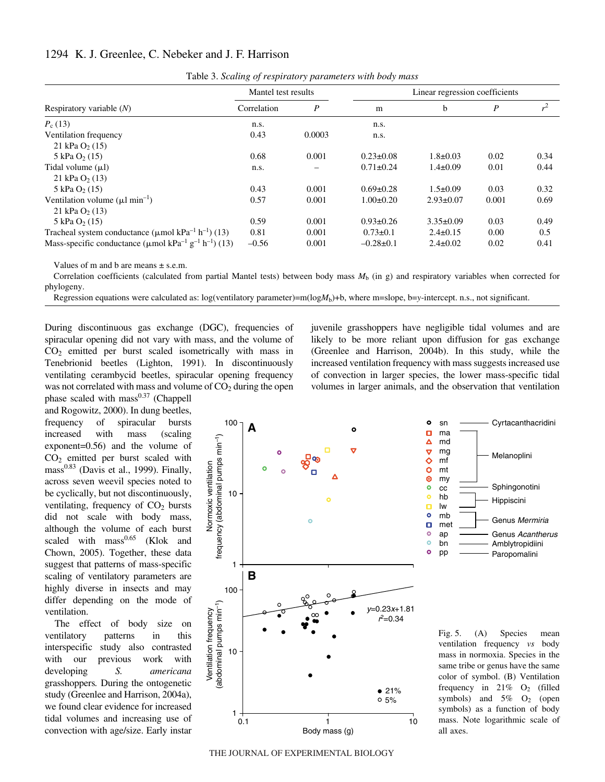## 1294 K. J. Greenlee, C. Nebeker and J. F. Harrison

|                                                                                                | <u>. .</u><br>$\sim$ 1 |                  |                                |                 |                  |               |
|------------------------------------------------------------------------------------------------|------------------------|------------------|--------------------------------|-----------------|------------------|---------------|
|                                                                                                | Mantel test results    |                  | Linear regression coefficients |                 |                  |               |
| Respiratory variable $(N)$                                                                     | Correlation            | $\boldsymbol{P}$ | m                              | b               | $\boldsymbol{P}$ | $r^2$         |
| $P_c(13)$                                                                                      | n.s.                   |                  | n.s.                           |                 |                  |               |
| Ventilation frequency                                                                          | 0.43                   | 0.0003           | n.s.                           |                 |                  |               |
| 21 kPa $O_2(15)$                                                                               |                        |                  |                                |                 |                  |               |
| $5 \text{ kPa}$ O <sub>2</sub> (15)                                                            | 0.68                   | 0.001            | $0.23 \pm 0.08$                | $1.8 \pm 0.03$  | 0.02             | 0.34          |
| Tidal volume $(\mu l)$                                                                         | n.s.                   |                  | $0.71 \pm 0.24$                | $1.4 \pm 0.09$  | 0.01             | 0.44          |
| 21 kPa $O_2(13)$                                                                               |                        |                  |                                |                 |                  |               |
| $5 \text{ kPa}$ O <sub>2</sub> (15)                                                            | 0.43                   | 0.001            | $0.69 \pm 0.28$                | $1.5 \pm 0.09$  | 0.03             | 0.32          |
| Ventilation volume $(\mu l \text{ min}^{-1})$                                                  | 0.57                   | 0.001            | $1.00 \pm 0.20$                | $2.93 \pm 0.07$ | 0.001            | 0.69          |
| 21 kPa $O_2(13)$                                                                               |                        |                  |                                |                 |                  |               |
| $5 \text{ kPa}$ O <sub>2</sub> (15)                                                            | 0.59                   | 0.001            | $0.93 \pm 0.26$                | $3.35 \pm 0.09$ | 0.03             | 0.49          |
| Tracheal system conductance ( $\mu$ mol kPa <sup>-1</sup> h <sup>-1</sup> ) (13)               | 0.81                   | 0.001            | $0.73 \pm 0.1$                 | $2.4 \pm 0.15$  | 0.00             | $0.5^{\circ}$ |
| Mass-specific conductance ( $\mu$ mol kPa <sup>-1</sup> g <sup>-1</sup> h <sup>-1</sup> ) (13) | $-0.56$                | 0.001            | $-0.28 \pm 0.1$                | $2.4 \pm 0.02$  | 0.02             | 0.41          |

Table 3. *Scaling of respiratory parameters with body mass* 

Values of m and b are means  $\pm$  s.e.m.

Correlation coefficients (calculated from partial Mantel tests) between body mass  $M<sub>b</sub>$  (in g) and respiratory variables when corrected for phylogeny.

Regression equations were calculated as: log(ventilatory parameter)=m( $log M_b$ )+b, where m=slope, b=y-intercept. n.s., not significant.

During discontinuous gas exchange (DGC), frequencies of spiracular opening did not vary with mass, and the volume of  $CO<sub>2</sub>$  emitted per burst scaled isometrically with mass in Tenebrionid beetles (Lighton, 1991). In discontinuously ventilating cerambycid beetles, spiracular opening frequency was not correlated with mass and volume of  $CO<sub>2</sub>$  during the open

phase scaled with  $mass<sup>0.37</sup>$  (Chappell and Rogowitz, 2000). In dung beetles, frequency of spiracular bursts increased with mass (scaling exponent=0.56) and the volume of  $CO<sub>2</sub>$  emitted per burst scaled with mass $0.83$  (Davis et al., 1999). Finally, across seven weevil species noted to be cyclically, but not discontinuously, ventilating, frequency of  $CO<sub>2</sub>$  bursts did not scale with body mass, although the volume of each burst scaled with  $mass<sup>0.65</sup>$  (Klok and Chown, 2005). Together, these data suggest that patterns of mass-specific scaling of ventilatory parameters are highly diverse in insects and may differ depending on the mode of ventilation.

The effect of body size on ventilatory patterns in this interspecific study also contrasted with our previous work with developing *S. americana* grasshoppers*.* During the ontogenetic study (Greenlee and Harrison, 2004a), we found clear evidence for increased tidal volumes and increasing use of convection with age/size. Early instar juvenile grasshoppers have negligible tidal volumes and are likely to be more reliant upon diffusion for gas exchange (Greenlee and Harrison, 2004b). In this study, while the increased ventilation frequency with mass suggests increased use of convection in larger species, the lower mass-specific tidal volumes in larger animals, and the observation that ventilation



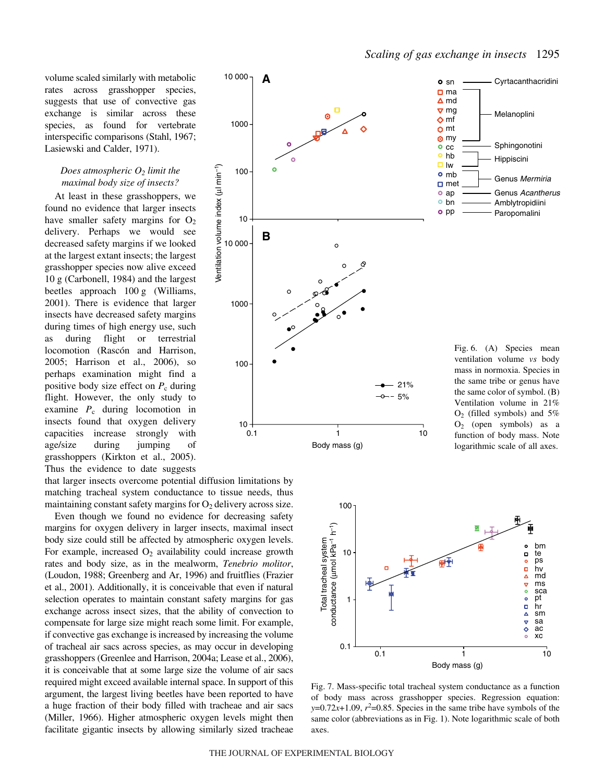volume scaled similarly with metabolic rates across grasshopper species, suggests that use of convective gas exchange is similar across these species, as found for vertebrate interspecific comparisons (Stahl, 1967; Lasiewski and Calder, 1971).

### *Does atmospheric O2 limit the maximal body size of insects?*

At least in these grasshoppers, we found no evidence that larger insects have smaller safety margins for  $O_2$ delivery. Perhaps we would see decreased safety margins if we looked at the largest extant insects; the largest grasshopper species now alive exceed  $10 \text{ g}$  (Carbonell, 1984) and the largest beetles approach  $100 \text{ g}$  (Williams, 2001). There is evidence that larger insects have decreased safety margins during times of high energy use, such as during flight or terrestrial locomotion (Rascón and Harrison, 2005; Harrison et al., 2006), so perhaps examination might find a positive body size effect on  $P_c$  during flight. However, the only study to examine  $P_c$  during locomotion in insects found that oxygen delivery capacities increase strongly with age/size during jumping of grasshoppers (Kirkton et al., 2005). Thus the evidence to date suggests

that larger insects overcome potential diffusion limitations by matching tracheal system conductance to tissue needs, thus maintaining constant safety margins for  $O_2$  delivery across size.

Even though we found no evidence for decreasing safety margins for oxygen delivery in larger insects, maximal insect body size could still be affected by atmospheric oxygen levels. For example, increased  $O_2$  availability could increase growth rates and body size, as in the mealworm, *Tenebrio molitor*, (Loudon, 1988; Greenberg and Ar, 1996) and fruitflies (Frazier et al., 2001). Additionally, it is conceivable that even if natural selection operates to maintain constant safety margins for gas exchange across insect sizes, that the ability of convection to compensate for large size might reach some limit. For example, if convective gas exchange is increased by increasing the volume of tracheal air sacs across species, as may occur in developing grasshoppers (Greenlee and Harrison, 2004a; Lease et al., 2006), it is conceivable that at some large size the volume of air sacs required might exceed available internal space. In support of this argument, the largest living beetles have been reported to have a huge fraction of their body filled with tracheae and air sacs (Miller, 1966). Higher atmospheric oxygen levels might then facilitate gigantic insects by allowing similarly sized tracheae



Body mass (g)

ventilation volume *vs* body mass in normoxia. Species in the same tribe or genus have the same color of symbol. (B) Ventilation volume in 21%  $O<sub>2</sub>$  (filled symbols) and 5% O2 (open symbols) as a function of body mass. Note logarithmic scale of all axes.



Fig. 7. Mass-specific total tracheal system conductance as a function of body mass across grasshopper species. Regression equation:  $y=0.72x+1.09$ ,  $r^2=0.85$ . Species in the same tribe have symbols of the same color (abbreviations as in Fig. 1). Note logarithmic scale of both axes.